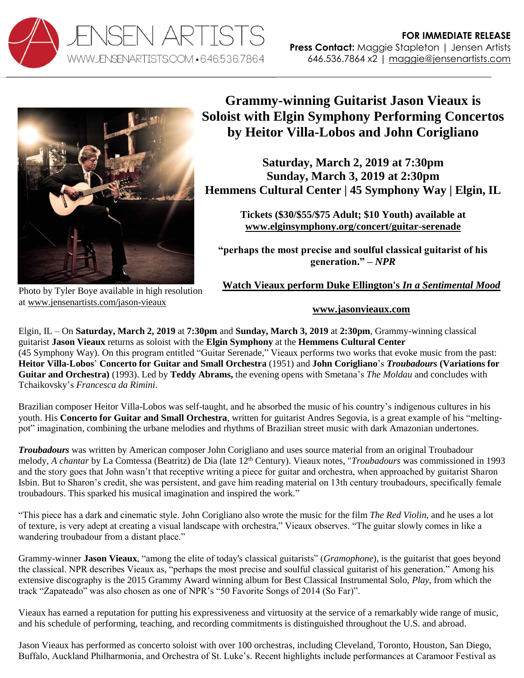



Photo by Tyler Boye available in high resolution at [www.jensenartists.com/jason-vieaux](http://www.jensenartists.com/jason-vieaux)

## **Grammy-winning Guitarist Jason Vieaux is Soloist with Elgin Symphony Performing Concertos by Heitor Villa-Lobos and John Corigliano**

**Saturday, March 2, 2019 at 7:30pm Sunday, March 3, 2019 at 2:30pm Hemmens Cultural Center | 45 Symphony Way | Elgin, IL**

> **Tickets (\$30/\$55/\$75 Adult; \$10 Youth) available at [www.elginsymphony.org/concert/guitar-serenade](http://www.elginsymphony.org/concert/guitar-serenade)**

**"perhaps the most precise and soulful classical guitarist of his generation." –** *NPR*

**[Watch Vieaux perform Duke Ellington's](https://www.youtube.com/watch?v=74Kw0wAru8U)** *In a Sentimental Mood*

## **[www.jasonvieaux.com](http://www.jasonvieaux.com/)**

Elgin, IL – On **Saturday, March 2, 2019** at **7:30pm** and **Sunday, March 3, 2019** at **2:30pm**, Grammy-winning classical guitarist **Jason Vieaux** returns as soloist with the **Elgin Symphony** at the **Hemmens Cultural Center** (45 Symphony Way). On this program entitled "Guitar Serenade," Vieaux performs two works that evoke music from the past: **Heitor Villa-Lobos**' **Concerto for Guitar and Small Orchestra** (1951) and **John Corigliano**'s *Troubadours* **(Variations for Guitar and Orchestra)** (1993). Led by **Teddy Abrams,** the evening opens with Smetana's *The Moldau* and concludes with Tchaikovsky's *Francesca da Rimini*.

Brazilian composer Heitor Villa-Lobos was self-taught, and he absorbed the music of his country's indigenous cultures in his youth. His **Concerto for Guitar and Small Orchestra**, written for guitarist Andres Segovia, is a great example of his "meltingpot" imagination, combining the urbane melodies and rhythms of Brazilian street music with dark Amazonian undertones.

*Troubadours* was written by American composer John Corigliano and uses source material from an original Troubadour melody, *A chantar* by La Comtessa (Beatritz) de Dia (late 12<sup>th</sup> Century). Vieaux notes, "*Troubadours* was commissioned in 1993 and the story goes that John wasn't that receptive writing a piece for guitar and orchestra, when approached by guitarist Sharon Isbin. But to Sharon's credit, she was persistent, and gave him reading material on 13th century troubadours, specifically female troubadours. This sparked his musical imagination and inspired the work."

"This piece has a dark and cinematic style. John Corigliano also wrote the music for the film *The Red Violin,* and he uses a lot of texture, is very adept at creating a visual landscape with orchestra," Vieaux observes. "The guitar slowly comes in like a wandering troubadour from a distant place."

Grammy-winner **Jason Vieaux**, "among the elite of today's classical guitarists" (*Gramophone*), is the guitarist that goes beyond the classical. NPR describes Vieaux as, "perhaps the most precise and soulful classical guitarist of his generation." Among his extensive discography is the 2015 Grammy Award winning album for Best Classical Instrumental Solo, *Play*, from which the track "Zapateado" was also chosen as one of NPR's "50 Favorite Songs of 2014 (So Far)".

Vieaux has earned a reputation for putting his expressiveness and virtuosity at the service of a remarkably wide range of music, and his schedule of performing, teaching, and recording commitments is distinguished throughout the U.S. and abroad.

Jason Vieaux has performed as concerto soloist with over 100 orchestras, including Cleveland, Toronto, Houston, San Diego, Buffalo, Auckland Philharmonia, and Orchestra of St. Luke's. Recent highlights include performances at Caramoor Festival as